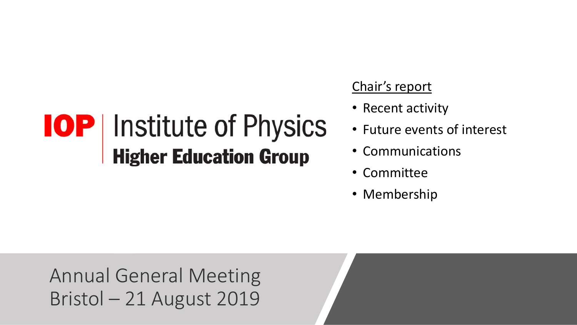#### Chair's report

- Recent activity
- Future events of interest
- Communications
- Committee
- Membership

Annual General Meeting Bristol – 21 August 2019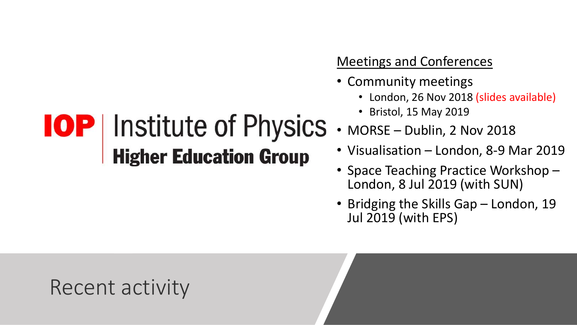#### Meetings and Conferences

- Community meetings
	- London, 26 Nov 2018 (slides available)
	- Bristol, 15 May 2019
- MORSE Dublin, 2 Nov 2018
- Visualisation London, 8-9 Mar 2019
- Space Teaching Practice Workshop London, 8 Jul 2019 (with SUN)
- Bridging the Skills Gap London, 19 Jul 2019 (with EPS)

## **IOP** Institute of Physics **Higher Education Group**

### Recent activity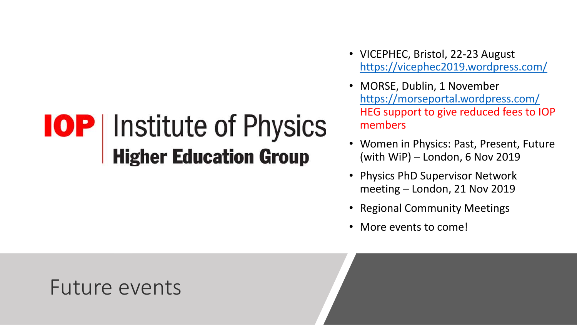- VICEPHEC, Bristol, 22-23 August <https://vicephec2019.wordpress.com/>
- MORSE, Dublin, 1 November <https://morseportal.wordpress.com/> HEG support to give reduced fees to IOP members
- Women in Physics: Past, Present, Future (with WiP) – London, 6 Nov 2019
- Physics PhD Supervisor Network meeting – London, 21 Nov 2019
- Regional Community Meetings
- More events to come!

#### Future events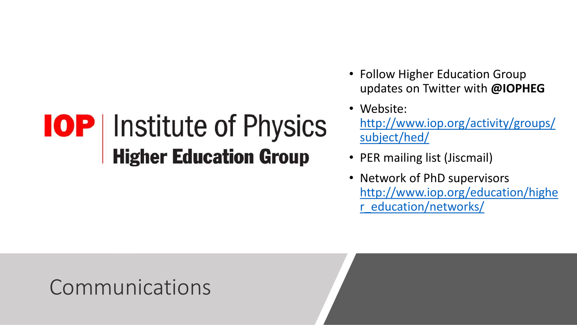- Follow Higher Education Group updates on Twitter with **@IOPHEG**
- Website: [http://www.iop.org/activity/groups/](http://www.iop.org/activity/groups/subject/hed/) subject/hed/
- PER mailing list (Jiscmail)
- Network of PhD supervisors [http://www.iop.org/education/highe](http://www.iop.org/education/higher_education/networks/) r\_education/networks/

#### Communications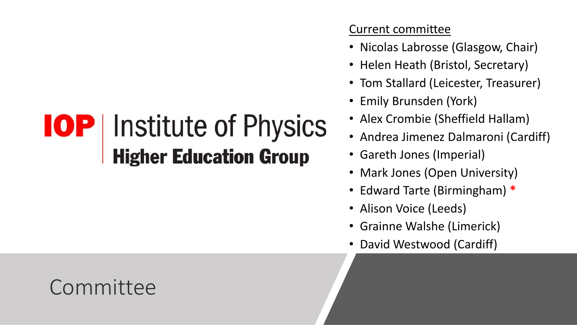#### Current committee

- Nicolas Labrosse (Glasgow, Chair)
- Helen Heath (Bristol, Secretary)
- Tom Stallard (Leicester, Treasurer)
- Emily Brunsden (York)
- Alex Crombie (Sheffield Hallam)
- Andrea Jimenez Dalmaroni (Cardiff)
- Gareth Jones (Imperial)
- Mark Jones (Open University)
- Edward Tarte (Birmingham) **\***
- Alison Voice (Leeds)
- Grainne Walshe (Limerick)
- David Westwood (Cardiff)

## Committee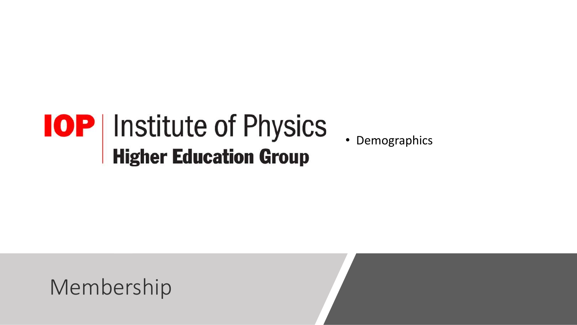• Demographics

Membership